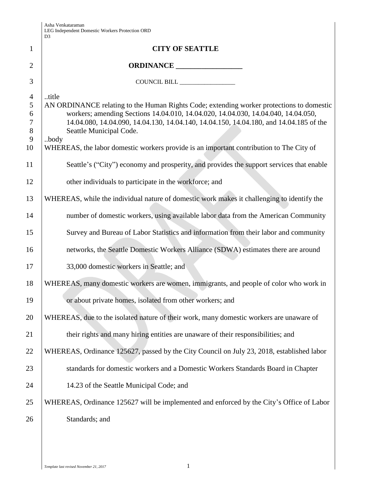|                                                                                | D <sub>3</sub>                                                                                                                                                                                                                                                                                                                                                                                                 |
|--------------------------------------------------------------------------------|----------------------------------------------------------------------------------------------------------------------------------------------------------------------------------------------------------------------------------------------------------------------------------------------------------------------------------------------------------------------------------------------------------------|
| $\mathbf{1}$                                                                   | <b>CITY OF SEATTLE</b>                                                                                                                                                                                                                                                                                                                                                                                         |
| 2                                                                              | ORDINANCE                                                                                                                                                                                                                                                                                                                                                                                                      |
| 3                                                                              | COUNCIL BILL ________________                                                                                                                                                                                                                                                                                                                                                                                  |
| $\overline{4}$<br>5<br>6<br>$\tau$<br>$8\phantom{1}$<br>$\boldsymbol{9}$<br>10 | title<br>AN ORDINANCE relating to the Human Rights Code; extending worker protections to domestic<br>workers; amending Sections 14.04.010, 14.04.020, 14.04.030, 14.04.040, 14.04.050,<br>14.04.080, 14.04.090, 14.04.130, 14.04.140, 14.04.150, 14.04.180, and 14.04.185 of the<br>Seattle Municipal Code.<br>body<br>WHEREAS, the labor domestic workers provide is an important contribution to The City of |
| 11                                                                             | Seattle's ("City") economy and prosperity, and provides the support services that enable                                                                                                                                                                                                                                                                                                                       |
| 12                                                                             | other individuals to participate in the workforce; and                                                                                                                                                                                                                                                                                                                                                         |
| 13                                                                             | WHEREAS, while the individual nature of domestic work makes it challenging to identify the                                                                                                                                                                                                                                                                                                                     |
| 14                                                                             | number of domestic workers, using available labor data from the American Community                                                                                                                                                                                                                                                                                                                             |
| 15                                                                             | Survey and Bureau of Labor Statistics and information from their labor and community                                                                                                                                                                                                                                                                                                                           |
| 16                                                                             | networks, the Seattle Domestic Workers Alliance (SDWA) estimates there are around                                                                                                                                                                                                                                                                                                                              |
| 17                                                                             | 33,000 domestic workers in Seattle; and                                                                                                                                                                                                                                                                                                                                                                        |
| 18                                                                             | WHEREAS, many domestic workers are women, immigrants, and people of color who work in                                                                                                                                                                                                                                                                                                                          |
| 19                                                                             | or about private homes, isolated from other workers; and                                                                                                                                                                                                                                                                                                                                                       |
| 20                                                                             | WHEREAS, due to the isolated nature of their work, many domestic workers are unaware of                                                                                                                                                                                                                                                                                                                        |
| 21                                                                             | their rights and many hiring entities are unaware of their responsibilities; and                                                                                                                                                                                                                                                                                                                               |
| 22                                                                             | WHEREAS, Ordinance 125627, passed by the City Council on July 23, 2018, established labor                                                                                                                                                                                                                                                                                                                      |
| 23                                                                             | standards for domestic workers and a Domestic Workers Standards Board in Chapter                                                                                                                                                                                                                                                                                                                               |
| 24                                                                             | 14.23 of the Seattle Municipal Code; and                                                                                                                                                                                                                                                                                                                                                                       |
| 25                                                                             | WHEREAS, Ordinance 125627 will be implemented and enforced by the City's Office of Labor                                                                                                                                                                                                                                                                                                                       |
| 26                                                                             | Standards; and                                                                                                                                                                                                                                                                                                                                                                                                 |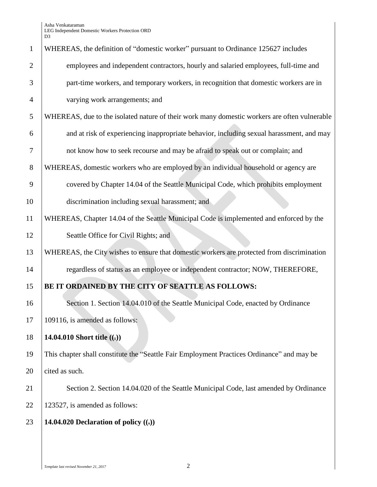| $\mathbf{1}$   | WHEREAS, the definition of "domestic worker" pursuant to Ordinance 125627 includes           |
|----------------|----------------------------------------------------------------------------------------------|
| $\overline{2}$ | employees and independent contractors, hourly and salaried employees, full-time and          |
| 3              | part-time workers, and temporary workers, in recognition that domestic workers are in        |
| $\overline{4}$ | varying work arrangements; and                                                               |
| 5              | WHEREAS, due to the isolated nature of their work many domestic workers are often vulnerable |
| 6              | and at risk of experiencing inappropriate behavior, including sexual harassment, and may     |
| 7              | not know how to seek recourse and may be afraid to speak out or complain; and                |
| 8              | WHEREAS, domestic workers who are employed by an individual household or agency are          |
| 9              | covered by Chapter 14.04 of the Seattle Municipal Code, which prohibits employment           |
| 10             | discrimination including sexual harassment; and                                              |
| 11             | WHEREAS, Chapter 14.04 of the Seattle Municipal Code is implemented and enforced by the      |
| 12             | Seattle Office for Civil Rights; and                                                         |
| 13             | WHEREAS, the City wishes to ensure that domestic workers are protected from discrimination   |
| 14             | regardless of status as an employee or independent contractor; NOW, THEREFORE,               |
| 15             | BE IT ORDAINED BY THE CITY OF SEATTLE AS FOLLOWS:                                            |
| 16             | Section 1. Section 14.04.010 of the Seattle Municipal Code, enacted by Ordinance             |
| 17             | 109116, is amended as follows:                                                               |
| 18             | 14.04.010 Short title $((.)$                                                                 |
| 19             | This chapter shall constitute the "Seattle Fair Employment Practices Ordinance" and may be   |
| 20             | cited as such.                                                                               |
| 21             | Section 2. Section 14.04.020 of the Seattle Municipal Code, last amended by Ordinance        |
| 22             | 123527, is amended as follows:                                                               |
| 23             | 14.04.020 Declaration of policy $((.)$                                                       |
|                |                                                                                              |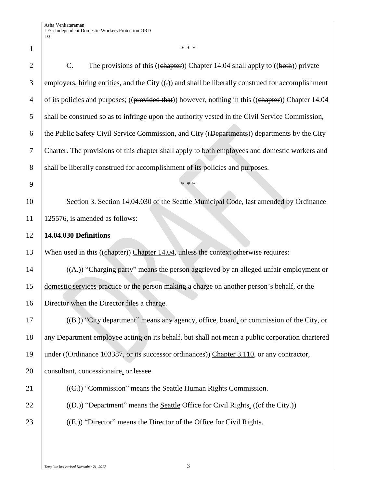2 C. The provisions of this ((chapter)) Chapter 14.04 shall apply to ((both)) private 3 employers, hiring entities, and the City  $((\tau))$  and shall be liberally construed for accomplishment 4 of its policies and purposes; ((provided that)) however, nothing in this ((chapter)) Chapter 14.04 5 shall be construed so as to infringe upon the authority vested in the Civil Service Commission, 6 the Public Safety Civil Service Commission, and City ( $(\overline{\text{Departments}})$ ) departments by the City 7 Charter. The provisions of this chapter shall apply to both employees and domestic workers and 8 shall be liberally construed for accomplishment of its policies and purposes.  $9$   $***$ 10 Section 3. Section 14.04.030 of the Seattle Municipal Code, last amended by Ordinance 11 125576, is amended as follows: 12 **14.04.030 Definitions** 13 When used in this ((chapter)) Chapter 14.04, unless the context otherwise requires: 14  $( (A))$  "Charging party" means the person aggrieved by an alleged unfair employment or 15 domestic services practice or the person making a charge on another person's behalf, or the 16 Director when the Director files a charge. 17 ((B.)) "City department" means any agency, office, board, or commission of the City, or 18 any Department employee acting on its behalf, but shall not mean a public corporation chartered 19 | under ((Ordinance 103387, or its successor ordinances)) Chapter 3.110, or any contractor, 20 consultant, concessionaire, or lessee. 21  $((C<sub>1</sub>))$  "Commission" means the Seattle Human Rights Commission. 22 ((D.)) "Department" means the <u>Seattle</u> Office for Civil Rights. ((of the City.)) 23  $\left($  ((E,)) "Director" means the Director of the Office for Civil Rights.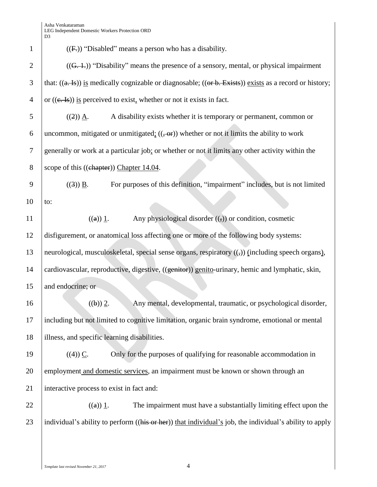| $\mathbf{1}$   | $((F))$ "Disabled" means a person who has a disability.                                                                    |
|----------------|----------------------------------------------------------------------------------------------------------------------------|
| $\overline{2}$ | $((G, 1))$ "Disability" means the presence of a sensory, mental, or physical impairment                                    |
| 3              | that: $((a. \text{Is}))$ is medically cognizable or diagnosable; $((or b. \text{ Exists}))$ exists as a record or history; |
| $\overline{4}$ | or $((e, Is))$ is perceived to exist, whether or not it exists in fact.                                                    |
| 5              | A disability exists whether it is temporary or permanent, common or<br>$((2)) \underline{A}.$                              |
| 6              | uncommon, mitigated or unmitigated: $((\text{-}or))$ whether or not it limits the ability to work                          |
| 7              | generally or work at a particular job; or whether or not it limits any other activity within the                           |
| 8              | scope of this ((chapter)) Chapter 14.04.                                                                                   |
| 9              | For purposes of this definition, "impairment" includes, but is not limited<br>$((3))$ B.                                   |
| 10             | to:                                                                                                                        |
| 11             | Any physiological disorder $((,))$ or condition, cosmetic<br>$((a))$ 1.                                                    |
| 12             | disfigurement, or anatomical loss affecting one or more of the following body systems:                                     |
| 13             | neurological, musculoskeletal, special sense organs, respiratory ((,)) (including speech organs),                          |
| 14             | cardiovascular, reproductive, digestive, ((genitor)) genito-urinary, hemic and lymphatic, skin,                            |
| 15             | and endocrine; or                                                                                                          |
| 16             | Any mental, developmental, traumatic, or psychological disorder,<br>((b)) 2.                                               |
| 17             | including but not limited to cognitive limitation, organic brain syndrome, emotional or mental                             |
| 18             | illness, and specific learning disabilities.                                                                               |
| 19             | $((4))$ C.<br>Only for the purposes of qualifying for reasonable accommodation in                                          |
| 20             | employment and domestic services, an impairment must be known or shown through an                                          |
| 21             | interactive process to exist in fact and:                                                                                  |
| 22             | The impairment must have a substantially limiting effect upon the<br>((a)) 1.                                              |
| 23             | individual's ability to perform ((his or her)) that individual's job, the individual's ability to apply                    |
|                |                                                                                                                            |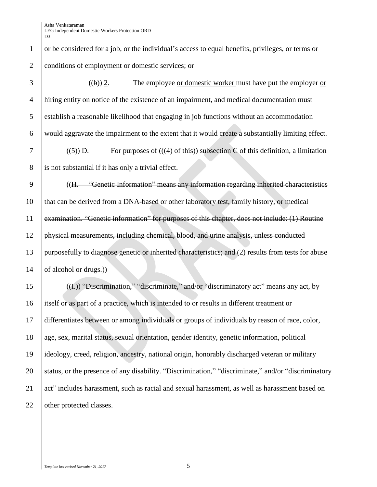# 1 or be considered for a job, or the individual's access to equal benefits, privileges, or terms or 2 conditions of employment or domestic services; or

 ((b)) 2. The employee or domestic worker must have put the employer or hiring entity on notice of the existence of an impairment, and medical documentation must establish a reasonable likelihood that engaging in job functions without an accommodation would aggravate the impairment to the extent that it would create a substantially limiting effect. 7 ((5) D. For purposes of  $((4)$  of this) subsection C of this definition, a limitation 8 is not substantial if it has only a trivial effect. 9 ((H. "Genetic Information" means any information regarding inherited characteristics 10 that can be derived from a DNA-based or other laboratory test, family history, or medical examination. "Genetic information" for purposes of this chapter, does not include: (1) Routine physical measurements, including chemical, blood, and urine analysis, unless conducted 13 | purposefully to diagnose genetic or inherited characteristics; and (2) results from tests for abuse  $\sigma$  dechol or drugs.) ((I.)) "Discrimination," "discriminate," and/or "discriminatory act" means any act, by

16 itself or as part of a practice, which is intended to or results in different treatment or 17 differentiates between or among individuals or groups of individuals by reason of race, color, 18 age, sex, marital status, sexual orientation, gender identity, genetic information, political 19 ideology, creed, religion, ancestry, national origin, honorably discharged veteran or military 20 Status, or the presence of any disability. "Discrimination," "discriminate," and/or "discriminatory 21 act" includes harassment, such as racial and sexual harassment, as well as harassment based on 22 | other protected classes.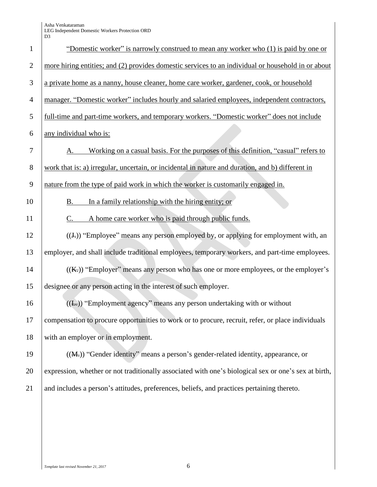| $\mathbf{1}$   | "Domestic worker" is narrowly construed to mean any worker who (1) is paid by one or                 |
|----------------|------------------------------------------------------------------------------------------------------|
| $\overline{2}$ | more hiring entities; and (2) provides domestic services to an individual or household in or about   |
| 3              | a private home as a nanny, house cleaner, home care worker, gardener, cook, or household             |
| $\overline{4}$ | manager. "Domestic worker" includes hourly and salaried employees, independent contractors,          |
| 5              | full-time and part-time workers, and temporary workers. "Domestic worker" does not include           |
| 6              | any individual who is:                                                                               |
| 7              | Working on a casual basis. For the purposes of this definition, "casual" refers to                   |
| 8              | work that is: a) irregular, uncertain, or incidental in nature and duration, and b) different in     |
| 9              | nature from the type of paid work in which the worker is customarily engaged in.                     |
| 10             | In a family relationship with the hiring entity; or<br>В.                                            |
| 11             | A home care worker who is paid through public funds.<br>C.                                           |
| 12             | $((J))$ "Employee" means any person employed by, or applying for employment with, an                 |
| 13             | employer, and shall include traditional employees, temporary workers, and part-time employees.       |
| 14             | $((K))$ "Employer" means any person who has one or more employees, or the employer's                 |
| 15             | designee or any person acting in the interest of such employer.                                      |
| 16             | $((E))$ "Employment agency" means any person undertaking with or without                             |
| 17             | compensation to procure opportunities to work or to procure, recruit, refer, or place individuals    |
| 18             | with an employer or in employment.                                                                   |
| 19             | ((M <sub>r</sub> )) "Gender identity" means a person's gender-related identity, appearance, or       |
| 20             | expression, whether or not traditionally associated with one's biological sex or one's sex at birth, |
| 21             | and includes a person's attitudes, preferences, beliefs, and practices pertaining thereto.           |
|                |                                                                                                      |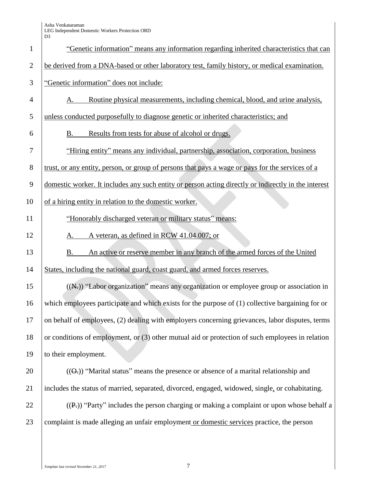|                | D <sub>3</sub>                                                                                       |
|----------------|------------------------------------------------------------------------------------------------------|
| $\mathbf{1}$   | "Genetic information" means any information regarding inherited characteristics that can             |
| $\overline{2}$ | be derived from a DNA-based or other laboratory test, family history, or medical examination.        |
| 3              | "Genetic information" does not include:                                                              |
| 4              | Routine physical measurements, including chemical, blood, and urine analysis,<br>Α.                  |
| 5              | unless conducted purposefully to diagnose genetic or inherited characteristics; and                  |
| 6              | Results from tests for abuse of alcohol or drugs.<br>Β.                                              |
| 7              | "Hiring entity" means any individual, partnership, association, corporation, business                |
| 8              | trust, or any entity, person, or group of persons that pays a wage or pays for the services of a     |
| 9              | domestic worker. It includes any such entity or person acting directly or indirectly in the interest |
| 10             | of a hiring entity in relation to the domestic worker.                                               |
| 11             | "Honorably discharged veteran or military status" means:                                             |
| 12             | A veteran, as defined in RCW 41.04.007; or<br>A.                                                     |
| 13             | An active or reserve member in any branch of the armed forces of the United<br>B.                    |
| 14             | States, including the national guard, coast guard, and armed forces reserves.                        |
| 15             | $((N))$ "Labor organization" means any organization or employee group or association in              |
| 16             | which employees participate and which exists for the purpose of (1) collective bargaining for or     |
| 17             | on behalf of employees, (2) dealing with employers concerning grievances, labor disputes, terms      |
| 18             | or conditions of employment, or $(3)$ other mutual aid or protection of such employees in relation   |
| 19             | to their employment.                                                                                 |
| 20             | $((\Theta))$ "Marital status" means the presence or absence of a marital relationship and            |
| 21             | includes the status of married, separated, divorced, engaged, widowed, single, or cohabitating.      |
| 22             | $((P))$ "Party" includes the person charging or making a complaint or upon whose behalf a            |
| 23             | complaint is made alleging an unfair employment or domestic services practice, the person            |
|                |                                                                                                      |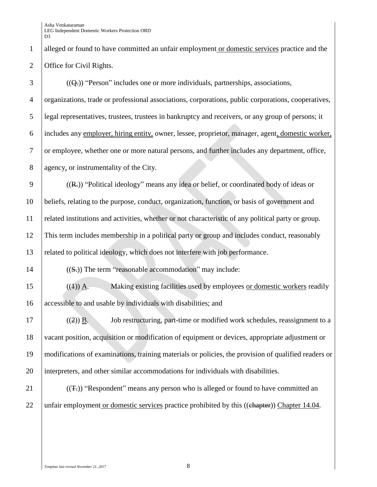1 alleged or found to have committed an unfair employment or domestic services practice and the 2 | Office for Civil Rights.

| 3              | $((Qz))$ "Person" includes one or more individuals, partnerships, associations,                       |
|----------------|-------------------------------------------------------------------------------------------------------|
| $\overline{4}$ | organizations, trade or professional associations, corporations, public corporations, cooperatives,   |
| 5              | legal representatives, trustees, trustees in bankruptcy and receivers, or any group of persons; it    |
| 6              | includes any employer, hiring entity, owner, lessee, proprietor, manager, agent, domestic worker,     |
| $\tau$         | or employee, whether one or more natural persons, and further includes any department, office,        |
| $8\,$          | agency, or instrumentality of the City.                                                               |
| $\overline{9}$ | $((R))$ "Political ideology" means any idea or belief, or coordinated body of ideas or                |
| 10             | beliefs, relating to the purpose, conduct, organization, function, or basis of government and         |
| 11             | related institutions and activities, whether or not characteristic of any political party or group.   |
| 12             | This term includes membership in a political party or group and includes conduct, reasonably          |
| 13             | related to political ideology, which does not interfere with job performance.                         |
| 14             | $((Sz))$ The term "reasonable accommodation" may include:                                             |
| 15             | Making existing facilities used by employees or domestic workers readily<br>$((4))$ $\underline{A}$ . |
| 16             | accessible to and usable by individuals with disabilities; and                                        |
| 17             | Job restructuring, part-time or modified work schedules, reassignment to a<br>$((2))$ B.              |
| 18             | vacant position, acquisition or modification of equipment or devices, appropriate adjustment or       |
| 19             | modifications of examinations, training materials or policies, the provision of qualified readers or  |
| 20             | interpreters, and other similar accommodations for individuals with disabilities.                     |
| 21             | $((\pm))$ "Respondent" means any person who is alleged or found to have committed an                  |
| 22             | unfair employment or domestic services practice prohibited by this ((chapter)) Chapter 14.04.         |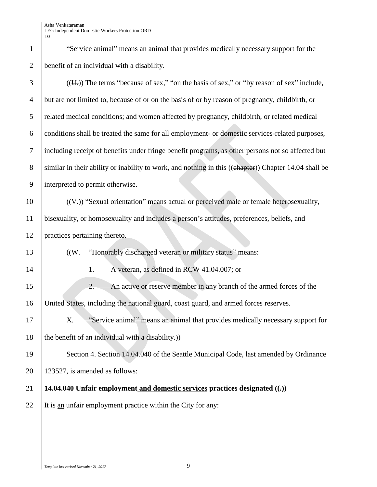1 "Service animal" means an animal that provides medically necessary support for the **benefit of an individual with a disability.** 

| 3              | $((\overline{U}))$ The terms "because of sex," "on the basis of sex," or "by reason of sex" include,  |
|----------------|-------------------------------------------------------------------------------------------------------|
| $\overline{4}$ | but are not limited to, because of or on the basis of or by reason of pregnancy, childbirth, or       |
| 5              | related medical conditions; and women affected by pregnancy, childbirth, or related medical           |
| 6              | conditions shall be treated the same for all employment-or domestic services-related purposes,        |
| $\tau$         | including receipt of benefits under fringe benefit programs, as other persons not so affected but     |
| 8              | similar in their ability or inability to work, and nothing in this ((chapter)) Chapter 14.04 shall be |
| 9              | interpreted to permit otherwise.                                                                      |
| 10             | $((4))$ "Sexual orientation" means actual or perceived male or female heterosexuality,                |
| 11             | bisexuality, or homosexuality and includes a person's attitudes, preferences, beliefs, and            |
| 12             | practices pertaining thereto.                                                                         |
| 13             | ((W. "Honorably discharged veteran or military status" means:                                         |
| 14             | A veteran, as defined in RCW 41.04.007; or<br>$+$                                                     |
| 15             | An active or reserve member in any branch of the armed forces of the<br>$\overline{2}$ .              |
| 16             | United States, including the national guard, coast guard, and armed forces reserves.                  |
| 17             | "Service animal" means an animal that provides medically necessary support for<br>X.                  |
| 18             | the benefit of an individual with a disability.)                                                      |
| 19             | Section 4. Section 14.04.040 of the Seattle Municipal Code, last amended by Ordinance                 |
| 20             | 123527, is amended as follows:                                                                        |
| 21             | 14.04.040 Unfair employment and domestic services practices designated $((.)$                         |
| 22             | It is an unfair employment practice within the City for any:                                          |
|                |                                                                                                       |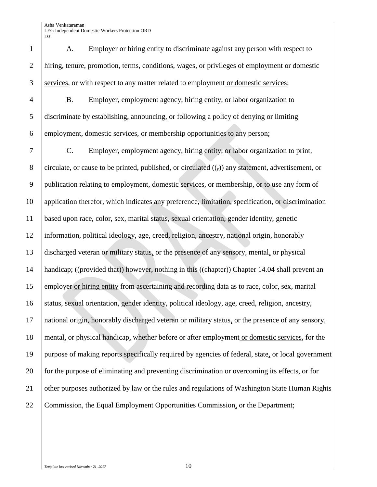A. Employer or hiring entity to discriminate against any person with respect to hiring, tenure, promotion, terms, conditions, wages, or privileges of employment or domestic services, or with respect to any matter related to employment or domestic services;

 B. Employer, employment agency, hiring entity, or labor organization to discriminate by establishing, announcing, or following a policy of denying or limiting employment, domestic services, or membership opportunities to any person;

 C. Employer, employment agency, hiring entity, or labor organization to print, 8 circulate, or cause to be printed, published, or circulated  $((\tau))$  any statement, advertisement, or publication relating to employment, domestic services, or membership, or to use any form of application therefor, which indicates any preference, limitation, specification, or discrimination based upon race, color, sex, marital status, sexual orientation, gender identity, genetic information, political ideology, age, creed, religion, ancestry, national origin, honorably discharged veteran or military status, or the presence of any sensory, mental, or physical 14 | handicap; ((provided that)) however, nothing in this ((chapter)) Chapter 14.04 shall prevent an employer or hiring entity from ascertaining and recording data as to race, color, sex, marital 16 status, sexual orientation, gender identity, political ideology, age, creed, religion, ancestry, national origin, honorably discharged veteran or military status, or the presence of any sensory, mental, or physical handicap, whether before or after employment or domestic services, for the purpose of making reports specifically required by agencies of federal, state, or local government 20 for the purpose of eliminating and preventing discrimination or overcoming its effects, or for 21 other purposes authorized by law or the rules and regulations of Washington State Human Rights 22 Commission, the Equal Employment Opportunities Commission, or the Department;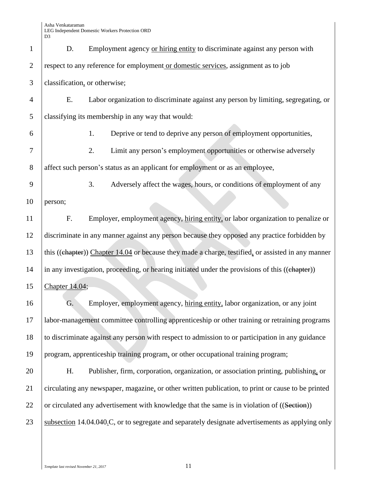| $\mathbf{1}$   | D.             | Employment agency or hiring entity to discriminate against any person with                         |
|----------------|----------------|----------------------------------------------------------------------------------------------------|
| $\overline{2}$ |                | respect to any reference for employment or domestic services, assignment as to job                 |
| 3              |                | classification, or otherwise;                                                                      |
| 4              | Ε.             | Labor organization to discriminate against any person by limiting, segregating, or                 |
| 5              |                | classifying its membership in any way that would:                                                  |
| 6              |                | Deprive or tend to deprive any person of employment opportunities,<br>1.                           |
| 7              |                | Limit any person's employment opportunities or otherwise adversely<br>2.                           |
| 8              |                | affect such person's status as an applicant for employment or as an employee,                      |
| 9              |                | 3.<br>Adversely affect the wages, hours, or conditions of employment of any                        |
| 10             | person;        |                                                                                                    |
| 11             | F.             | Employer, employment agency, hiring entity, or labor organization to penalize or                   |
| 12             |                | discriminate in any manner against any person because they opposed any practice forbidden by       |
| 13             |                | this ((chapter)) Chapter 14.04 or because they made a charge, testified, or assisted in any manner |
| 14             |                | in any investigation, proceeding, or hearing initiated under the provisions of this ((chapter))    |
| 15             | Chapter 14.04; |                                                                                                    |
| 16             | G.             | Employer, employment agency, hiring entity, labor organization, or any joint                       |
| 17             |                | labor-management committee controlling apprenticeship or other training or retraining programs     |
| 18             |                | to discriminate against any person with respect to admission to or participation in any guidance   |
| 19             |                | program, apprenticeship training program, or other occupational training program;                  |
| 20             | H.             | Publisher, firm, corporation, organization, or association printing, publishing, or                |
| 21             |                | circulating any newspaper, magazine, or other written publication, to print or cause to be printed |
| 22             |                | or circulated any advertisement with knowledge that the same is in violation of ((Section))        |
| 23             |                | subsection 14.04.040.C, or to segregate and separately designate advertisements as applying only   |
|                |                |                                                                                                    |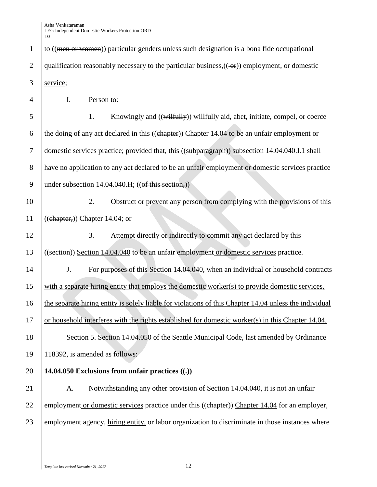1 to  $((\text{men or women}))$  particular genders unless such designation is a bona fide occupational 2 qualification reasonably necessary to the particular business,(( or)) employment, or domestic 3 service; 4 I. Person to: 5 1. Knowingly and ((wilfully) willfully aid, abet, initiate, compel, or coerce 6 the doing of any act declared in this ( $(\theta$ ) Chapter 14.04 to be an unfair employment or 7 domestic services practice; provided that, this ((subparagraph)) subsection 14.04.040.I.1 shall 8 have no application to any act declared to be an unfair employment or domestic services practice 9 | under subsection 14.04.040.H;  $((of this section))$ 10 2. Obstruct or prevent any person from complying with the provisions of this 11  $\left($ ( $\right)$ ( $\right)$ ( $\right)$ ( $\right)$ ) Chapter 14.04; or 12 3. Attempt directly or indirectly to commit any act declared by this 13 ((section)) Section 14.04.040 to be an unfair employment or domestic services practice. 14 J. For purposes of this Section 14.04.040, when an individual or household contracts 15 with a separate hiring entity that employs the domestic worker(s) to provide domestic services, 16 the separate hiring entity is solely liable for violations of this Chapter 14.04 unless the individual 17 or household interferes with the rights established for domestic worker(s) in this Chapter 14.04. 18 Section 5. Section 14.04.050 of the Seattle Municipal Code, last amended by Ordinance 19 118392, is amended as follows: 20 **14.04.050 Exclusions from unfair practices ((.))** 21 A. Notwithstanding any other provision of Section 14.04.040, it is not an unfair 22 employment or domestic services practice under this ((ehapter)) Chapter 14.04 for an employer, 23 employment agency, hiring entity, or labor organization to discriminate in those instances where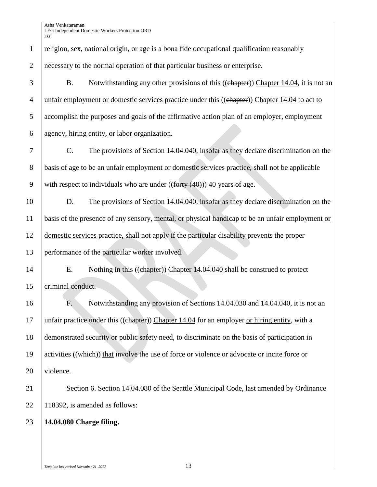| $\mathbf{1}$   | religion, sex, national origin, or age is a bona fide occupational qualification reasonably       |
|----------------|---------------------------------------------------------------------------------------------------|
| $\overline{2}$ | necessary to the normal operation of that particular business or enterprise.                      |
| 3              | Notwithstanding any other provisions of this ((chapter)) Chapter 14.04, it is not an<br><b>B.</b> |
| $\overline{4}$ | unfair employment or domestic services practice under this ((chapter)) Chapter 14.04 to act to    |
| 5              | accomplish the purposes and goals of the affirmative action plan of an employer, employment       |
| 6              | agency, hiring entity, or labor organization.                                                     |
| 7              | The provisions of Section 14.04.040, insofar as they declare discrimination on the<br>C.          |
| 8              | basis of age to be an unfair employment or domestic services practice, shall not be applicable    |
| 9              | with respect to individuals who are under $((forty (40)))$ 40 years of age.                       |
| 10             | The provisions of Section 14.04.040, insofar as they declare discrimination on the<br>D.          |
| 11             | basis of the presence of any sensory, mental, or physical handicap to be an unfair employment or  |
| 12             | domestic services practice, shall not apply if the particular disability prevents the proper      |
| 13             | performance of the particular worker involved.                                                    |
| 14             | Nothing in this ((chapter)) Chapter 14.04.040 shall be construed to protect<br>E.                 |
| 15             | criminal conduct.                                                                                 |
| 16             | Notwithstanding any provision of Sections 14.04.030 and 14.04.040, it is not an<br>F.             |
| 17             | unfair practice under this ((chapter)) Chapter 14.04 for an employer or hiring entity, with a     |
| 18             | demonstrated security or public safety need, to discriminate on the basis of participation in     |
| 19             | activities ((which)) that involve the use of force or violence or advocate or incite force or     |
| 20             | violence.                                                                                         |
| 21             | Section 6. Section 14.04.080 of the Seattle Municipal Code, last amended by Ordinance             |
| 22             | 118392, is amended as follows:                                                                    |
| 23             | 14.04.080 Charge filing.                                                                          |
|                |                                                                                                   |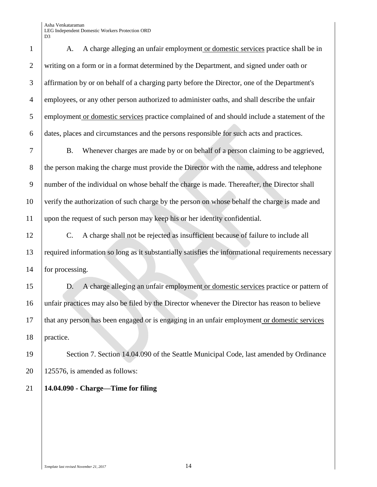A. A charge alleging an unfair employment or domestic services practice shall be in writing on a form or in a format determined by the Department, and signed under oath or affirmation by or on behalf of a charging party before the Director, one of the Department's employees, or any other person authorized to administer oaths, and shall describe the unfair 5 employment or domestic services practice complained of and should include a statement of the dates, places and circumstances and the persons responsible for such acts and practices. B. Whenever charges are made by or on behalf of a person claiming to be aggrieved, 8 the person making the charge must provide the Director with the name, address and telephone number of the individual on whose behalf the charge is made. Thereafter, the Director shall verify the authorization of such charge by the person on whose behalf the charge is made and

upon the request of such person may keep his or her identity confidential.

 C. A charge shall not be rejected as insufficient because of failure to include all required information so long as it substantially satisfies the informational requirements necessary 14 for processing.

 D. A charge alleging an unfair employment or domestic services practice or pattern of unfair practices may also be filed by the Director whenever the Director has reason to believe that any person has been engaged or is engaging in an unfair employment or domestic services practice.

 Section 7. Section 14.04.090 of the Seattle Municipal Code, last amended by Ordinance | 125576, is amended as follows:

### **14.04.090 - Charge—Time for filing**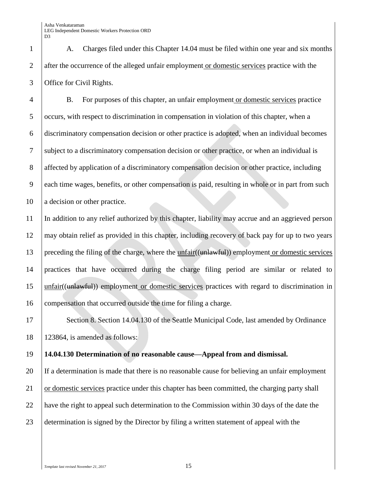A. Charges filed under this Chapter 14.04 must be filed within one year and six months 2 after the occurrence of the alleged unfair employment or domestic services practice with the Office for Civil Rights.

 B. For purposes of this chapter, an unfair employment or domestic services practice occurs, with respect to discrimination in compensation in violation of this chapter, when a discriminatory compensation decision or other practice is adopted, when an individual becomes subject to a discriminatory compensation decision or other practice, or when an individual is affected by application of a discriminatory compensation decision or other practice, including each time wages, benefits, or other compensation is paid, resulting in whole or in part from such 10 a decision or other practice.

 In addition to any relief authorized by this chapter, liability may accrue and an aggrieved person may obtain relief as provided in this chapter, including recovery of back pay for up to two years 13 preceding the filing of the charge, where the unfair((unlawful)) employment or domestic services practices that have occurred during the charge filing period are similar or related to unfair((unlawful)) employment or domestic services practices with regard to discrimination in compensation that occurred outside the time for filing a charge.

17 Section 8. Section 14.04.130 of the Seattle Municipal Code, last amended by Ordinance 123864, is amended as follows:

### **14.04.130 Determination of no reasonable cause—Appeal from and dismissal.**

 If a determination is made that there is no reasonable cause for believing an unfair employment 21 or domestic services practice under this chapter has been committed, the charging party shall have the right to appeal such determination to the Commission within 30 days of the date the determination is signed by the Director by filing a written statement of appeal with the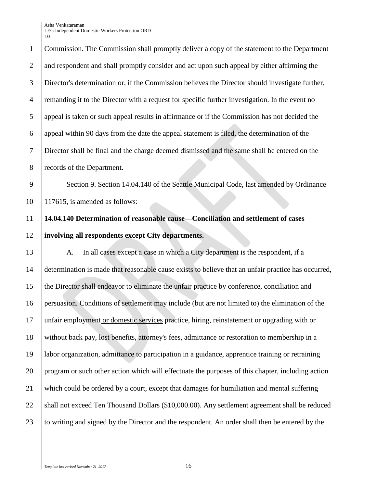Commission. The Commission shall promptly deliver a copy of the statement to the Department 2 and respondent and shall promptly consider and act upon such appeal by either affirming the Director's determination or, if the Commission believes the Director should investigate further, 4 remanding it to the Director with a request for specific further investigation. In the event no appeal is taken or such appeal results in affirmance or if the Commission has not decided the appeal within 90 days from the date the appeal statement is filed, the determination of the Director shall be final and the charge deemed dismissed and the same shall be entered on the 8 records of the Department.

9 | Section 9. Section 14.04.140 of the Seattle Municipal Code, last amended by Ordinance 10 117615, is amended as follows:

## 11 **14.04.140 Determination of reasonable cause—Conciliation and settlement of cases**  12 **involving all respondents except City departments.**

13 A. In all cases except a case in which a City department is the respondent, if a determination is made that reasonable cause exists to believe that an unfair practice has occurred, the Director shall endeavor to eliminate the unfair practice by conference, conciliation and persuasion. Conditions of settlement may include (but are not limited to) the elimination of the unfair employment or domestic services practice, hiring, reinstatement or upgrading with or without back pay, lost benefits, attorney's fees, admittance or restoration to membership in a labor organization, admittance to participation in a guidance, apprentice training or retraining 20 program or such other action which will effectuate the purposes of this chapter, including action which could be ordered by a court, except that damages for humiliation and mental suffering 22 Shall not exceed Ten Thousand Dollars (\$10,000.00). Any settlement agreement shall be reduced 23 to writing and signed by the Director and the respondent. An order shall then be entered by the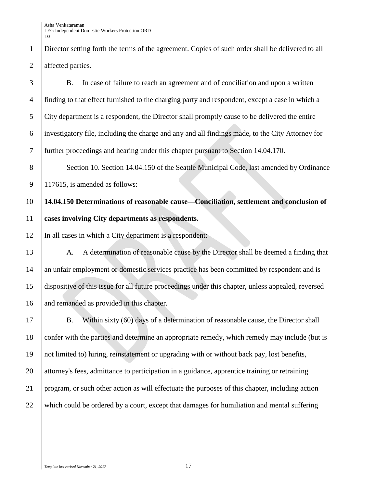1 Director setting forth the terms of the agreement. Copies of such order shall be delivered to all 2 affected parties.

 B. In case of failure to reach an agreement and of conciliation and upon a written finding to that effect furnished to the charging party and respondent, except a case in which a City department is a respondent, the Director shall promptly cause to be delivered the entire investigatory file, including the charge and any and all findings made, to the City Attorney for further proceedings and hearing under this chapter pursuant to Section 14.04.170.

8 Section 10. Section 14.04.150 of the Seattle Municipal Code, last amended by Ordinance 9 | 117615, is amended as follows:

10 **14.04.150 Determinations of reasonable cause—Conciliation, settlement and conclusion of**  11 **cases involving City departments as respondents.** 

12 In all cases in which a City department is a respondent:

13 A. A determination of reasonable cause by the Director shall be deemed a finding that 14 an unfair employment or domestic services practice has been committed by respondent and is 15 dispositive of this issue for all future proceedings under this chapter, unless appealed, reversed 16 and remanded as provided in this chapter.

17 B. Within sixty (60) days of a determination of reasonable cause, the Director shall 18 confer with the parties and determine an appropriate remedy, which remedy may include (but is not limited to) hiring, reinstatement or upgrading with or without back pay, lost benefits, attorney's fees, admittance to participation in a guidance, apprentice training or retraining program, or such other action as will effectuate the purposes of this chapter, including action which could be ordered by a court, except that damages for humiliation and mental suffering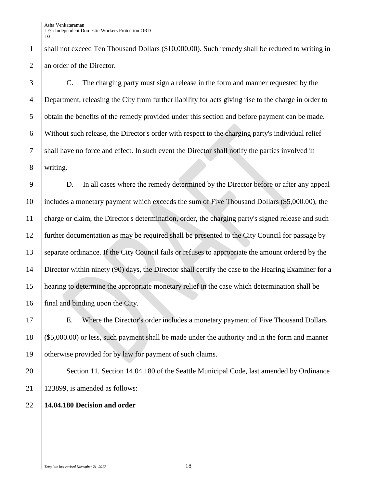1 shall not exceed Ten Thousand Dollars (\$10,000.00). Such remedy shall be reduced to writing in 2 an order of the Director.

 C. The charging party must sign a release in the form and manner requested by the Department, releasing the City from further liability for acts giving rise to the charge in order to 5 obtain the benefits of the remedy provided under this section and before payment can be made. Without such release, the Director's order with respect to the charging party's individual relief shall have no force and effect. In such event the Director shall notify the parties involved in writing.

 D. In all cases where the remedy determined by the Director before or after any appeal includes a monetary payment which exceeds the sum of Five Thousand Dollars (\$5,000.00), the charge or claim, the Director's determination, order, the charging party's signed release and such further documentation as may be required shall be presented to the City Council for passage by 13 separate ordinance. If the City Council fails or refuses to appropriate the amount ordered by the Director within ninety (90) days, the Director shall certify the case to the Hearing Examiner for a hearing to determine the appropriate monetary relief in the case which determination shall be final and binding upon the City.

 E. Where the Director's order includes a monetary payment of Five Thousand Dollars (\$5,000.00) or less, such payment shall be made under the authority and in the form and manner otherwise provided for by law for payment of such claims.

20 Section 11. Section 14.04.180 of the Seattle Municipal Code, last amended by Ordinance 123899, is amended as follows:

### **14.04.180 Decision and order**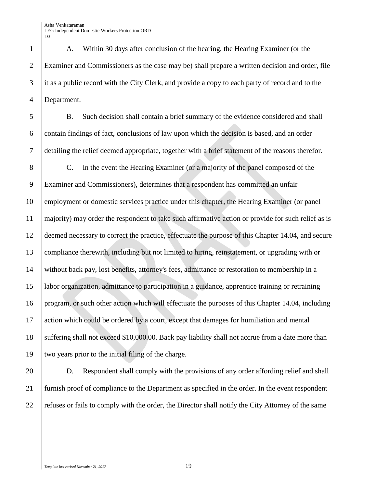A. Within 30 days after conclusion of the hearing, the Hearing Examiner (or the Examiner and Commissioners as the case may be) shall prepare a written decision and order, file 3 it as a public record with the City Clerk, and provide a copy to each party of record and to the Department.

 B. Such decision shall contain a brief summary of the evidence considered and shall contain findings of fact, conclusions of law upon which the decision is based, and an order detailing the relief deemed appropriate, together with a brief statement of the reasons therefor.

 C. In the event the Hearing Examiner (or a majority of the panel composed of the Examiner and Commissioners), determines that a respondent has committed an unfair employment or domestic services practice under this chapter, the Hearing Examiner (or panel majority) may order the respondent to take such affirmative action or provide for such relief as is deemed necessary to correct the practice, effectuate the purpose of this Chapter 14.04, and secure compliance therewith, including but not limited to hiring, reinstatement, or upgrading with or without back pay, lost benefits, attorney's fees, admittance or restoration to membership in a labor organization, admittance to participation in a guidance, apprentice training or retraining program, or such other action which will effectuate the purposes of this Chapter 14.04, including action which could be ordered by a court, except that damages for humiliation and mental 18 suffering shall not exceed \$10,000.00. Back pay liability shall not accrue from a date more than two years prior to the initial filing of the charge.

 D. Respondent shall comply with the provisions of any order affording relief and shall furnish proof of compliance to the Department as specified in the order. In the event respondent refuses or fails to comply with the order, the Director shall notify the City Attorney of the same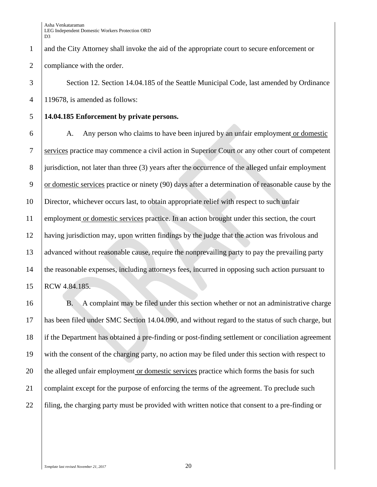and the City Attorney shall invoke the aid of the appropriate court to secure enforcement or 2 compliance with the order.

3 Section 12. Section 14.04.185 of the Seattle Municipal Code, last amended by Ordinance 119678, is amended as follows:

### **14.04.185 Enforcement by private persons.**

6 A. Any person who claims to have been injured by an unfair employment or domestic services practice may commence a civil action in Superior Court or any other court of competent jurisdiction, not later than three (3) years after the occurrence of the alleged unfair employment or domestic services practice or ninety (90) days after a determination of reasonable cause by the Director, whichever occurs last, to obtain appropriate relief with respect to such unfair 11 employment or domestic services practice. In an action brought under this section, the court having jurisdiction may, upon written findings by the judge that the action was frivolous and advanced without reasonable cause, require the nonprevailing party to pay the prevailing party the reasonable expenses, including attorneys fees, incurred in opposing such action pursuant to RCW 4.84.185.

 B. A complaint may be filed under this section whether or not an administrative charge has been filed under SMC Section 14.04.090, and without regard to the status of such charge, but 18 if the Department has obtained a pre-finding or post-finding settlement or conciliation agreement with the consent of the charging party, no action may be filed under this section with respect to 20 the alleged unfair employment or domestic services practice which forms the basis for such complaint except for the purpose of enforcing the terms of the agreement. To preclude such filing, the charging party must be provided with written notice that consent to a pre-finding or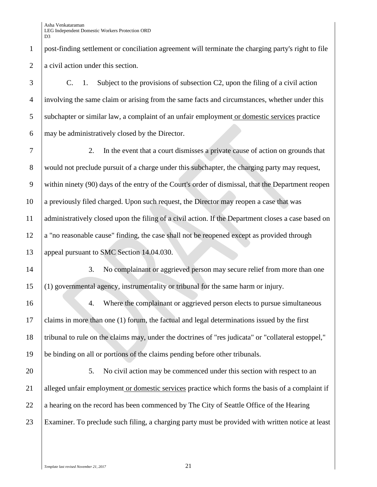C. 1. Subject to the provisions of subsection C2, upon the filing of a civil action involving the same claim or arising from the same facts and circumstances, whether under this subchapter or similar law, a complaint of an unfair employment or domestic services practice may be administratively closed by the Director.

 2. In the event that a court dismisses a private cause of action on grounds that 8 would not preclude pursuit of a charge under this subchapter, the charging party may request, within ninety (90) days of the entry of the Court's order of dismissal, that the Department reopen a previously filed charged. Upon such request, the Director may reopen a case that was administratively closed upon the filing of a civil action. If the Department closes a case based on a "no reasonable cause" finding, the case shall not be reopened except as provided through 13 appeal pursuant to SMC Section 14.04.030.

14 3. No complainant or aggrieved person may secure relief from more than one  $15$  (1) governmental agency, instrumentality or tribunal for the same harm or injury.

16 4. Where the complainant or aggrieved person elects to pursue simultaneous claims in more than one (1) forum, the factual and legal determinations issued by the first tribunal to rule on the claims may, under the doctrines of "res judicata" or "collateral estoppel," be binding on all or portions of the claims pending before other tribunals.

20 7. No civil action may be commenced under this section with respect to an 21 alleged unfair employment or domestic services practice which forms the basis of a complaint if 22  $|$  a hearing on the record has been commenced by The City of Seattle Office of the Hearing 23 Examiner. To preclude such filing, a charging party must be provided with written notice at least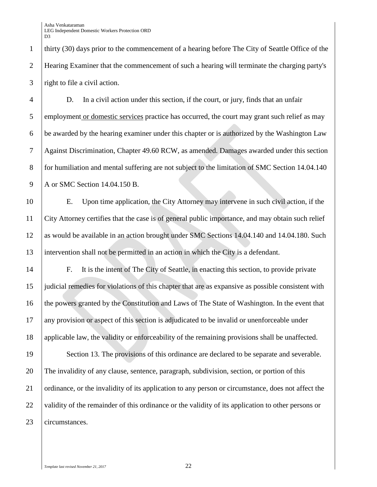1 thirty (30) days prior to the commencement of a hearing before The City of Seattle Office of the 2 Hearing Examiner that the commencement of such a hearing will terminate the charging party's 3 right to file a civil action.

4 D. In a civil action under this section, if the court, or jury, finds that an unfair 5 employment or domestic services practice has occurred, the court may grant such relief as may 6 be awarded by the hearing examiner under this chapter or is authorized by the Washington Law 7 Against Discrimination, Chapter 49.60 RCW, as amended. Damages awarded under this section 8 for humiliation and mental suffering are not subject to the limitation of SMC Section 14.04.140 9 A or SMC Section 14.04.150 B.

 E. Upon time application, the City Attorney may intervene in such civil action, if the City Attorney certifies that the case is of general public importance, and may obtain such relief as would be available in an action brought under SMC Sections 14.04.140 and 14.04.180. Such intervention shall not be permitted in an action in which the City is a defendant.

 F. It is the intent of The City of Seattle, in enacting this section, to provide private judicial remedies for violations of this chapter that are as expansive as possible consistent with 16 the powers granted by the Constitution and Laws of The State of Washington. In the event that any provision or aspect of this section is adjudicated to be invalid or unenforceable under applicable law, the validity or enforceability of the remaining provisions shall be unaffected.

19 Section 13. The provisions of this ordinance are declared to be separate and severable. 20 The invalidity of any clause, sentence, paragraph, subdivision, section, or portion of this 21 ordinance, or the invalidity of its application to any person or circumstance, does not affect the 22 validity of the remainder of this ordinance or the validity of its application to other persons or 23 circumstances.